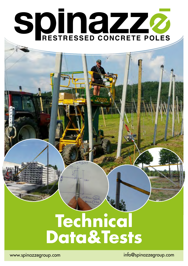# SDIN2ZZ

# **Technical Data&Tests**

www.spinazzegroup.com info@spinazzegroup.com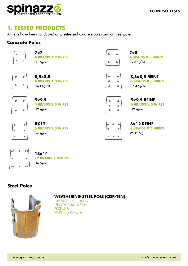

#### **1. TESTED PRODUCTS**

All tests have been conducted on prestressed concrete poles and on steel poles.

#### **Concrete Poles**



| 7x7                |  |
|--------------------|--|
| 4 BRAIDS X 2 WIRES |  |
| $(11$ Ka/m)        |  |

| % | ¥ |
|---|---|
| 8 | 8 |

| 8,5x8,5                   |
|---------------------------|
| <b>4 BRAIDS X 3 WIRES</b> |
| $(16, 4 \text{ Kg/m})$    |



**7x8 4 BRAIDS X 3 WIRES**  (12,8 Kg/m)

| ß  | ஃ |
|----|---|
| ę. | ஃ |
| ę. | ஃ |

**8,5x8,5 REINF 6 BRAIDS X 3 WIRES**  (16,4 Kg/m)



| 9x9,5                     |
|---------------------------|
| <b>4 BRAIDS X 3 WIRES</b> |
| (19 Kg/m)                 |



**9x9,5 REINF 6 BRAIDS X 3 WIRES**  (19 Kg/m)



| 8X12                      |  |
|---------------------------|--|
| <b>6 BRAIDS X 3 WIRES</b> |  |
| (24 Kg/m)                 |  |



**8x12 REINF 8 BRAIDS X 3 WIRES**  (24 Kg/m)



#### **13x14 12 BRAIDS X 3 WIRES**  (46 Kg/m)

#### **Steel Poles**



#### **WEATHERING STEEL POLE (COR-TEN)**

THIKNESS: 150 - 180 mm LENGTH: 2.50 - 2.80 m PROFILE: U WEIGHT: 2,05 Kg/m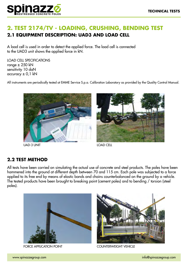

#### **2. TEST 2174/TV - LOADING, CRUSHING, BENDING TEST 2.1 EQUIPMENT DESCRIPTION: UAD3 AND LOAD CELL**

A load cell is used in order to detect the applied force. The load cell is connected to the UAD3 unit shows the applied force in kN.

LOAD CELL SPECIFICATIONS range  $\pm$  250 kN sensitivity 10 daN accuracy  $\pm$  0,1 kN

All instruments are periodically tested at EMME Service S.p.a. Calibration Laboratory as provided by the Quality Control Manual.



UAD-3 UNIT LOAD CELL



#### **2.2 TEST METHOD**

All tests have been carried on simulating the actual use of concrete and steel products. The poles have been hammered into the ground at different depth between 70 and 115 cm. Each pole was subjected to a force applied to its free end by means of elastic bands and chains counterbalanced on the ground by a vehicle. The tested products have been brought to breaking point (cement poles) and to bending / torsion (steel poles).



FORCE APPLICATION POINT COUNTERWEIGHT VEHICLE

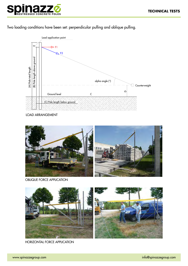



Two loading conditions have been set: perpendicular pulling and oblique pulling.



LOAD ARRANGEMENT



OBLIQUE FORCE APPLICATION



HORIZONTAL FORCE APPLICATION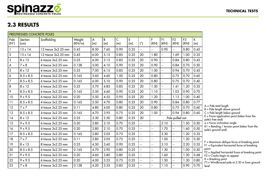

#### **2.3 RESULTS**

|                       | PRESTRESSED CONCRETE POLES |                        |                  |          |          |          |          |                          |                          |                         |                        |                        |                     |                                                                                                 |
|-----------------------|----------------------------|------------------------|------------------|----------|----------|----------|----------|--------------------------|--------------------------|-------------------------|------------------------|------------------------|---------------------|-------------------------------------------------------------------------------------------------|
| Pole<br>$(N^{\circ})$ | Section<br>(cm)            | Scaffolding            | Weight<br>(KN/m) | A<br>(m) | B<br>(m) | C<br>(m) | E<br>(m) | (°)                      | F<br>(KN)                | F1<br>(KN)              | F <sub>2</sub><br>(KN) | F <sub>3</sub><br>(KN) | $\mathsf{K}$<br>(m) |                                                                                                 |
| $\mathbf{1}$          | $13 \times 14$             | 12 trecce 3x2.25 mm    | 0.45             | 8.50     | 7.60     | 0.90     | 0.25     | ω.                       | Ξ.                       | 0.90                    | $-1$                   | 0.80                   | 0.45                |                                                                                                 |
| $\overline{2}$        | $13 \times 14$             | 12 trecce 3x2.25 mm    | 0.45             | 6.00     | 5.15     | 0.85     | 0.25     | 20                       | 1.80                     | Ξ.                      | 1.69                   | 1.00                   | 0.35                |                                                                                                 |
| 3                     | $8 \times 12$              | $6$ trecce $3x2.25$ mm | 0.25             | 6.00     | 5.15     | 0.85     | 0.25     | 20                       | 0.90                     | Ξ.                      | 0.84                   | 0.80                   | 0.45                |                                                                                                 |
| $\boldsymbol{A}$      | $7 \times 8$               | 4 trecce 3x2.25 mm     | 0.128            | 5.00     | 4.10     | 0.90     | 0.25     | 20                       | 0.90                     | u.                      | 0.84                   | 0.70                   | 0.50                |                                                                                                 |
| $5\overline{)}$       | $8 \times 12$              | $6$ trecce $3x2.25$ mm | 0.25             | 7.00     | 6.15     | 0.85     | 0.25     | 20                       | 1.00                     | $\mathbb{L} \mathbb{L}$ | 0.94                   | 0.70                   | 0.45                |                                                                                                 |
| $\boldsymbol{6}$      | $8.5 \times 8.5$           | 4 trecce 3x2.25 mm     | 0.165            | 5.60     | 4.60     | 1.00     | 0.25     | 20                       | 0.80                     | $\mathbb{Z}^2$          | 0.75                   | 0.70                   | 0.60                |                                                                                                 |
| $\overline{7}$        | $8.5 \times 8.5$           | $6$ trecce $3x2.25$ mm | 0.165            | 6.00     | 5.10     | 0.90     | 0.25     | 20                       | 0.80                     | $\mathbb{Z}^2$          | 0.75                   | 0.70                   | 0.40                |                                                                                                 |
| $\,8\,$               | $8 \times 12$              | $6$ trecce $3x2.25$ mm | 0.25             | 5.70     | 4.85     | 0.85     | 0.25     | 20                       | 1.50                     | $\mathbb{Z}^2$          | 1.41                   | 1.20                   | 0.35                |                                                                                                 |
| 9                     | $8.5 \times 8.5$           | $6$ trecce $3x2.25$ mm | 0.165            | 5.50     | 4.60     | 0.90     | 0.25     | 20                       | 1.10                     | $\Box$                  | 1.03                   | 0.90                   | 0.70                |                                                                                                 |
| 10                    | $9 \times 9.5$             | $6$ trecce $3x2.25$ mm | 0.20             | 5.50     | 4.55     | 0.95     | 0.25     | 20                       | 1.20                     | $\Box$                  | 1.13                   | 1.00                   | 0.40                |                                                                                                 |
| 11                    | $8.5 \times 8.5$           | 4 trecce 3x2.25 mm     | 0.165            | 5.50     | 4.70     | 0.80     | 0.25     | 20                       | 0.90                     | $\mathbb{L} \mathbb{L}$ | 0.84                   | 0.80                   | 0.77                |                                                                                                 |
| 12                    | $7 \times 7$               | 4 trecce $3x2.25$ mm   | 0.11             | 4.80     | 4.00     | 0.80     | 0.25     | 20                       | 0.80                     | $\sim$ $\sim$           | 0.75                   | 0.70                   | 0.60                | $A =$ Pole total length<br>B = Pole length above ground                                         |
| 13                    | $8.5 \times 8.5$           | 4 trecce $3x2.25$ mm   | 0.165            | 4.70     | 3.95     | 0.75     | 0.25     | 20                       | 1.00                     | $\mathbb{Z}^2$          | 0.94                   | 0.80                   | 0.60                | C = Pole length below ground                                                                    |
| 14                    | $8 \times 12$              | $6$ trecce $3x2.25$ mm | 0.25             | 3.30     | 2.50     | 0.80     | 0.25     | 20                       |                          |                         | Pole pulled out        |                        |                     | $E =$ Force application point (taken from the<br>pole's free end)                               |
| 15                    | $9 \times 9.5$             | $6$ trecce $3x2.25$ mm | 0.20             | 2.80     | 2.10     | 0.70     | 0.25     |                          | Ξ.                       | 2.10                    |                        | 1.50                   | 0.50                | $a =$ Force inclination angle                                                                   |
| 16                    | $9 \times 9.5$             | 4 trecce $3x2.25$ mm   | 0.20             | 2.80     | 2.10     | 0.70     | 0.25     | 44                       | u.                       | 1.70                    | μ.                     | 1.60                   | 0.50                | $K1 =$ Bending / torsion point (taken from the<br>pole's ground end)                            |
| 17                    | $8.5 \times 8.5$           | 4 trecce 3x2.25 mm     | 0.165            | 2.80     | 2.05     | 0.75     | 0.25     | цü                       | Ξ.                       | 2.30                    | $-1$                   | 1.20                   | 0.35                |                                                                                                 |
| 18                    | $7 \times 7$               | 4 trecce 3x2.25 mm     | 0.11             | 2.80     | 2.05     | 0.75     | 0.25     | ω.                       | $\overline{a}$           | 1.00                    | $\overline{a}$         | 1.20                   | 0.30                |                                                                                                 |
| 19                    | $8 \times 12$              | 8 trecce 3x2.25 mm     | 0.25             | 4.50     | 3.60     | 0.90     | 0.25     | u.                       | $\overline{a}$           | 3.10                    | $\overline{a}$         | 2.20                   | 0.55                | $F =$ Maximum oblique force at breaking point<br>$F1 =$ Equivalent horizontal force at breaking |
| 20                    | $8.5 \times 8.5$           | $6$ trecce $3x2.25$ mm | 0.165            | 4.70     | 3.90     | 0.80     | 0.25     | u.                       | $\overline{a}$           | 1.30                    | $-1$                   | 1.00                   | 0.50                | point<br>$F2$ = Applied horizontal froce at breaking point                                      |
| 21                    | $9 \times 9.5$             | $6$ trecce $3x2.25$ mm | 0.20             | 4.60     | 3.80     | 0.80     | 0.25     | $\overline{a}$           | $\overline{a}$           | 1.60                    | $\overline{a}$         | 1.30                   | 0.68                | $F3 =$ Cracks begin to appear                                                                   |
| 22                    | $9 \times 9.5$             | $6$ trecce $3x2.25$ mm | 0.20             | 4.00     | 3.25     | 0.75     | 0.25     | $\mathbf{u}$             | $\overline{\phantom{a}}$ | 1.50                    | $-$                    | 1.30                   | 0.80                | $K =$ Breaking point<br>$(*)$ = Windbraced pole at 2.30 m from ground                           |
| 23                    | $7 \times 8$               | 4 trecce 3x2.25 mm     | 0.128            | 4.20     | 3.35     | 0.85     | 0.25     | $\overline{\phantom{a}}$ | $\overline{a}$           | 1.10                    |                        | 0.90                   | 0.70                | level                                                                                           |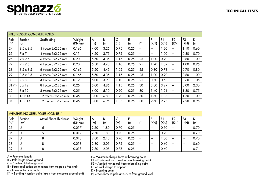|                       | PRESTRESSED CONCRETE POLES |                         |                  |          |          |          |          |            |           |            |                          |                        |          |
|-----------------------|----------------------------|-------------------------|------------------|----------|----------|----------|----------|------------|-----------|------------|--------------------------|------------------------|----------|
| Pole<br>$(N^{\circ})$ | Section<br>(cm)            | Scaffolding             | Weight<br>(KN/m) | A<br>(m) | В<br>(m) | C<br>(m) | E<br>(m) | $(^\circ)$ | F<br>(KN) | F1<br>(KN) | F <sub>2</sub><br>(KN)   | F <sub>3</sub><br>(KN) | K<br>(m) |
| 24                    | $8.5 \times 8.5$           | 4 trecce 3x2.25 mm      | 0.165            | 4.00     | 3.25     | 0.75     | 0.25     | --         | --        | 1.20       | --                       | 1.10                   | 0.60     |
| 25                    | $7 \times 7$               | 4 trecce 3x2.25 mm      | 0.11             | 4.50     | 3.75     | 0.75     | 0.25     | $-$        | --        | 0.00       | $\overline{\phantom{a}}$ | 0.80                   | 0.70     |
| 26                    | $9 \times 9.5$             | $6$ trecce $3x2.25$ mm  | 0.20             | 5.50     | 4.35     | 1.15     | 0.25     | 25         | 00.1      | 0.90       | $\overline{\phantom{a}}$ | 0.80                   | 1.00     |
| 27                    | $9 \times 9.5$             | $6$ trecce $3x2.25$ mm  | 0.20             | 5.50     | 4.40     | 1.10     | 0.25     | 25         | 1.20      | .09        | --                       | 1.00                   | 0.95     |
| 28                    | $8.5 \times 8.5$           | $6$ trecce $3x2.25$ mm  | 0.165            | 5.50     | 4.45     | 1.05     | 0.25     | 25         | 0.80      | 0.73       | $-$                      | 0.70                   | 0.80     |
| 29                    | $8.5 \times 8.5$           | $6$ trecce $3x2.25$ mm  | 0.165            | 5.50     | 4.35     | 1.15     | 0.25     | 25         | 1.00      | 0.90       | --                       | 0.80                   | 1.00     |
| 30                    | $7 \times 8$               | 4 trecce 3x2.25 mm      | 0.128            | 5.00     | 3.90     | 1.10     | 0.25     | 25         | 0.70      | 0.63       | $-$                      | 0.60                   | 1.05     |
| $31$ (*)              | $8 \times 12$              | $8$ trecce $3x2.25$ mm  | 0.25             | 6.00     | 4.85     | 1.15     | 0.25     | 30         | 3.80      | 3.29       | $\overline{\phantom{a}}$ | 3.00                   | 2.30     |
| 32                    | $8 \times 12$              | 8 trecce 3x2.25 mm      | 0.25             | 6.00     | 5.10     | 0.90     | 0.25     | 30         | .40       | 1.21       | $-$                      | 1.30                   | 0.75     |
| 33                    | $13 \times 14$             | 12 trecce 3x2.25 mm     | 0.45             | 8.00     | 6.80     | 1.20     | 0.25     | 30         | .60       | .38        | --                       | 1.50                   | 1.00     |
| 34                    | $13 \times 14$             | $12$ trecce $3x2.25$ mm | 0.45             | 8.00     | 6.95     | 1.05     | 0.25     | 30         | 2.60      | 2.25       | $\overline{\phantom{a}}$ | 2.20                   | 0.95     |

|                       | WEATHERING STEEL POLES (COR-TEN) |                              |                  |          |      |      |          |               |      |            |                        |                        |          |  |
|-----------------------|----------------------------------|------------------------------|------------------|----------|------|------|----------|---------------|------|------------|------------------------|------------------------|----------|--|
| Pole<br>$ N^{\circ} $ | Section<br>$\mathsf{(cm)}$       | <b>Metal Sheet Thickness</b> | Weight<br>(KN/m) | A<br>(m) | (m)  | (m)  | Е<br>(m) | $\mathcal{C}$ | (KN) | F1<br>(KN) | F <sub>2</sub><br>(KN) | F <sub>3</sub><br>(KN) | К<br>(m) |  |
| 35                    | U                                | $\overline{5}$               | 0.017            | 2.50     | .80  | 0.70 | 0.25     | $- -$         | $ -$ | 0.50       | $- -$                  | $--$                   | 0.70     |  |
| 36                    | U                                | .5                           | 0.017            | 2.50     | .80  | 0.70 | 0.25     | $-$           | $ -$ | 0.90       | $- -$                  | $- -$                  | 0.70     |  |
| 37                    | U                                | 18                           | 0.018            | 2.80     | 2.10 | 0.70 | 0.25     | $-$           | $-$  | 1.00       | $- -$                  | $- -$                  | 0.70     |  |
| 38                    | U                                | 18                           | 0.018            | 2.80     | 2.05 | 0.75 | 0.25     | $-$           | $ -$ | 0.60       | $- -$                  | $- -$                  | 0.60     |  |
| 39                    | U                                | 18                           | 0.018            | 2.80     | 2.05 | 0.75 | 0.25     | $- -$         | $ -$ | 0.60       | $- -$                  | $ -$                   | 0.7      |  |

A = Pole total length

B = Pole length above ground

C = Pole length below ground

E = Force application point (taken from the pole's free end)

a = Force inclination angle

K1 = Bending / torsion point (taken from the pole's ground end)

F = Maximum oblique force at breaking point

F1 = Equivalent horizontal force at breaking point

F2 = Applied horizontal froce at breaking point

F3 = Cracks begin to appear

K = Breaking point

(\*) = Windbraced pole at 2.30 m from ground level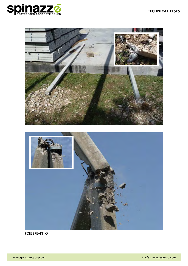



POLE BREAKING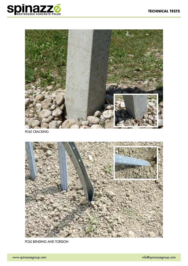



POLE CRACKING



POLE BENDING AND TORSION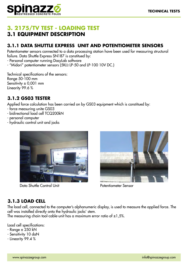

#### **3. 2175/TV TEST - LOADING TEST 3.1 EQUIPMENT DESCRIPTION**

#### **3.1.1 DATA SHUTTLE EXPRESS UNIT AND POTENTIOMETER SENSORS**

Potentiometer sensors connected to a data processing station have been used for measuring structural failure. Data Shuttle Express SN187 is constitued by:

- Personal computer running DasyLab software

- "Midori" potentiometer sensors (5KΩ LP-50 and LP-100 10V DC.)

Technical specifications of the sensors: Range 50-100 mm Sensitivity ± 0,001 mm Linearity 99.6 %

#### **3.1.2 GS03 TESTER**

Applied force calculation has been carried on by GS03 equipment which is constitued by:

- force measuring unite GS03
- bidirectional load cell TCQ200kN
- personal computer
- hydraulic control unit and jacks



Data Shuttle Control Unit Potentiometer Sensor



#### **3.1.3 LOAD CELL**

The load cell, connected to the computer's alphanumeric display, is used to measure the applied force. The cell was installed directly onto the hydraulic jacks' stem.

The measuring chain tool-cable-unit has a maximum error ratio of  $\pm 1.5$ %.

Load cell specifications:

- Range ± 250 kN
- Sensitivity 10 daN
- Linearity 99.4 %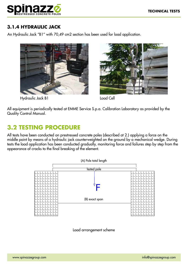

#### **3.1.4 HYDRAULIC JACK**

An Hydraulic Jack "B1" with 70,49 cm2 section has been used for load application.





All equipment is periodically tested at EMME Service S.p.a. Calibration Laboratory as provided by the Quality Control Manual.

#### **3.2 TESTING PROCEDURE**

All tests have been conducted on prestressed concrete poles (described at 2.) applying a force on the middle point by means of a hydraulic jack counterweighted on the ground by a mechanical wedge. During tests the load application has been conducted gradually, monitoring force and failures step by step from the appearance of cracks to the final breaking of the element.



Load arrangement scheme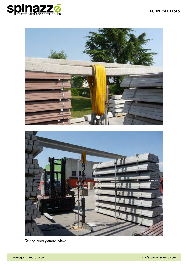



Testing area general view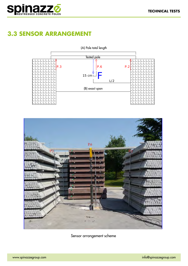

### **3.3 SENSOR ARRANGEMENT**





Sensor arrangement scheme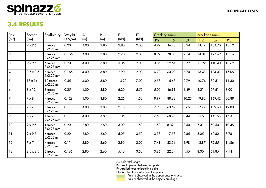

## **3.4 RESULTS**

| Pole           | Section          | Scaffolding             | Weight | $\overline{\mathsf{A}}$ | $\overline{B}$<br>$\mathsf{F}$<br>F1 |       |      | Cracking (mm) |       | <b>Breakage (mm)</b> |       |        |       |
|----------------|------------------|-------------------------|--------|-------------------------|--------------------------------------|-------|------|---------------|-------|----------------------|-------|--------|-------|
| $(N^{\circ})$  | (cm)             |                         | (KN/m) | (m)                     | (m)                                  | (KN)  | (KN) | P.2           | P.6   | P.3                  | P.2   | P.6    | P.3   |
| $\overline{1}$ | $9 \times 9.5$   | 4 trecce<br>$3x2.25$ mm | 0.20   | 4.00                    | 3.80                                 | 2.80  | 2.00 | 4.97          | 46.10 | 5.24                 | 14.17 | 134.70 | 15.12 |
| $\overline{2}$ | $8.5 \times 8.5$ | 4 trecce<br>$3x2.25$ mm | 0.165  | 4.00                    | 3.80                                 | 2.70  | 2.00 | 8.92          | 78.00 | 9.14                 | 14.31 | 127.62 | 15.16 |
| 3              | $9 \times 9.5$   | 6 trecce<br>$3x2.25$ mm | 0.20   | 4.00                    | 3.80                                 | 3.35  | 2.00 | 3.35          | 29.64 | 3.72                 | 11.92 | 110.40 | 13.69 |
| $\overline{4}$ | $8.5 \times 8.5$ | 6 trecce<br>$3x2.25$ mm | 0.165  | 4.00                    | 3.80                                 | 2.90  | 2.00 | 6.70          | 63.90 | 6.70                 | 13.48 | 134.01 | 15.05 |
| $\overline{5}$ | $13 \times 14$   | 12 trecce<br>3x2.25 mm  | 0.45   | 4.00                    | 3.80                                 | 14.20 | 7.00 | 2.58          | 15.63 | 2.79                 | 10.74 | 82.51  | 11.30 |
| 6              | $8 \times 12$    | 8 trecce<br>3x2.25 mm   | 0.25   | 4.00                    | 3.80                                 | 6.20  | 5.50 | 5.00          | 46.91 | 6.49                 | 6.21  | 59.61  | 8.00  |
| $\overline{7}$ | $7 \times 8$     | 4 trecce<br>3x2.25 mm   | 0.128  | 4.00                    | 3.80                                 | 2.25  | 1.50 | 9.97          | 88.63 | 10.23                | 19.82 | 169.42 | 20.89 |
| 8              | $7 \times 7$     | 4 trecce<br>3x2.25 mm   | 0.11   | 4.00                    | 3.80                                 | 2.10  | 1.20 | 7.90          | 63.57 | 8.65                 | 17.72 | 139.60 | 19.03 |
| 9              | $7 \times 7$     | 4 trecce<br>$2x2.25$ mm | 0.11   | 4.00                    | 3.80                                 | 1.35  | 1.00 | 7.50          | 68.43 | 8.44                 | 15.68 | 142.58 | 17.31 |
| 10             | $9 \times 9.5$   | 4 trecce<br>3x2.25 mm   | 0.20   | 2.80                    | 2.60                                 | 3.00  | 1.50 | 1.50          | 8.32  | 3.50                 | 7.31  | 50.53  | 10.45 |
| 11             | $9 \times 9.5$   | 6 trecce<br>3x2.25 mm   | 0.20   | 2.80                    | 2.60                                 | 5.05  | 3.50 | 3.13          | 17.53 | 2.85                 | 8.05  | 49.80  | 8.78  |
| 12             | $7 \times 7$     | 4 trecce<br>3x2.25 mm   | 0.11   | 2.80                    | 2.60                                 | 2.90  | 2.00 | 7.41          | 33.36 | 6.98                 | 13.87 | 75.55  | 14.86 |
| 13             | $8.5 \times 8.5$ | 6 trecce<br>3x2.25 mm   | 0.165  | 2.80                    | 2.60                                 | 5.10  | 3.50 | 3.86          | 22.34 | 4.55                 | 8.30  | 51.85  | 9.14  |

A= pole total length

B= Exact opening between supports

F= Applied force at breaking point

F1= Applied force when cracks appear

Failure observed at the appearance of cracks

Failure observed at the object's breakage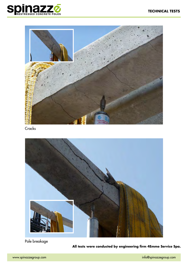



**Cracks** 



Pole breakage

**All tests were conducted by engineering firm 4Emme Service Spa.**